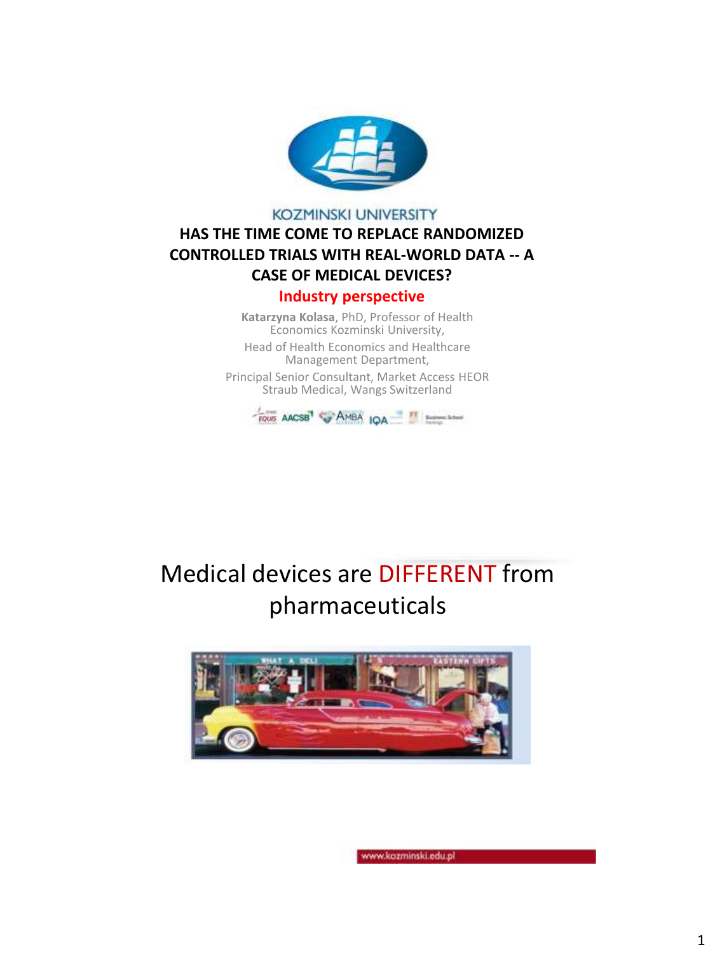

#### **KOZMINSKI UNIVERSITY**

#### **HAS THE TIME COME TO REPLACE RANDOMIZED CONTROLLED TRIALS WITH REAL-WORLD DATA -- A CASE OF MEDICAL DEVICES?**

#### **Industry perspective**

**Katarzyna Kolasa**, PhD, Professor of Health Economics Kozminski University,

Head of Health Economics and Healthcare Management Department,

Principal Senior Consultant, Market Access HEOR Straub Medical, Wangs Switzerland



# Medical devices are DIFFERENT from pharmaceuticals

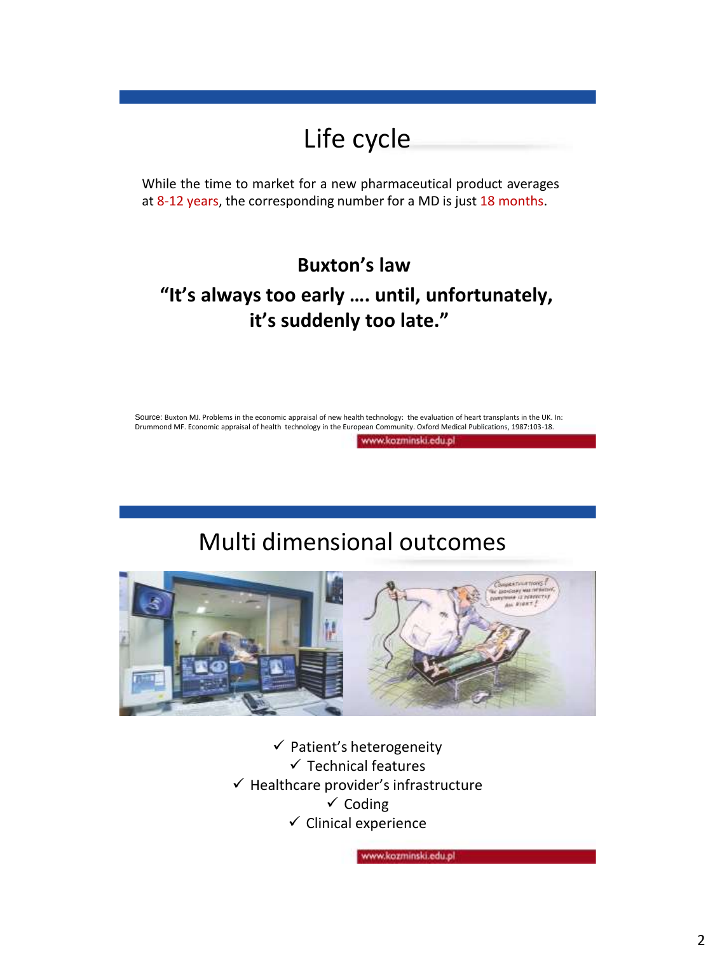# Life cycle

While the time to market for a new pharmaceutical product averages at 8-12 years, the corresponding number for a MD is just 18 months.

### **Buxton's law**

#### **"It's always too early …. until, unfortunately, it's suddenly too late."**

Source: Buxton MJ. Problems in the economic appraisal of new health technology: the evaluation of heart transplants in the UK. In: Drummond MF. Economic appraisal of health technology in the European Community. Oxford Medical Publications, 1987:103-18.

www.kozminski.edu.pl

## Multi dimensional outcomes



 $\checkmark$  Patient's heterogeneity  $\checkmark$  Technical features  $\checkmark$  Healthcare provider's infrastructure  $\checkmark$  Coding  $\checkmark$  Clinical experience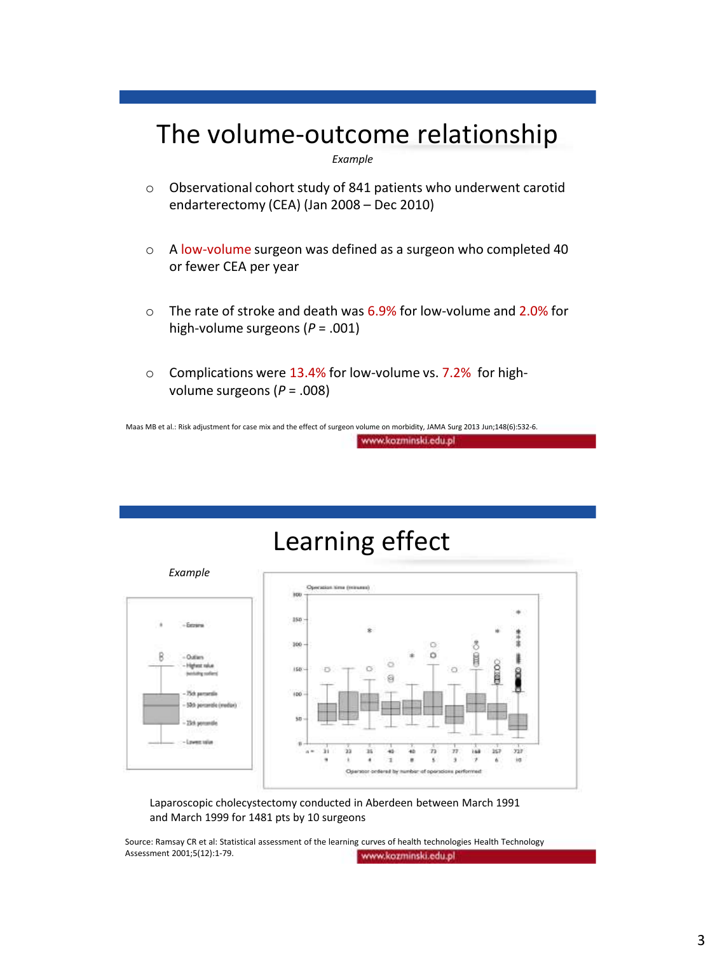## The volume-outcome relationship

*Example*

- o Observational cohort study of 841 patients who underwent carotid endarterectomy (CEA) (Jan 2008 – Dec 2010)
- o A low-volume surgeon was defined as a surgeon who completed 40 or fewer CEA per year
- $\circ$  The rate of stroke and death was 6.9% for low-volume and 2.0% for high-volume surgeons (*P* = .001)
- o Complications were 13.4% for low-volume vs. 7.2% for highvolume surgeons (*P* = .008)

Maas MB et al.: Risk adjustment for case mix and the effect of surgeon volume on morbidity, JAMA Surg 2013 Jun;148(6):532-6. www.kozminski.edu.pl

# Learning effect



Laparoscopic cholecystectomy conducted in Aberdeen between March 1991 and March 1999 for 1481 pts by 10 surgeons

Source: Ramsay CR et al: Statistical assessment of the learning curves of health technologies Health Technology Assessment 2001;5(12):1-79. www.kozminski.edu.pl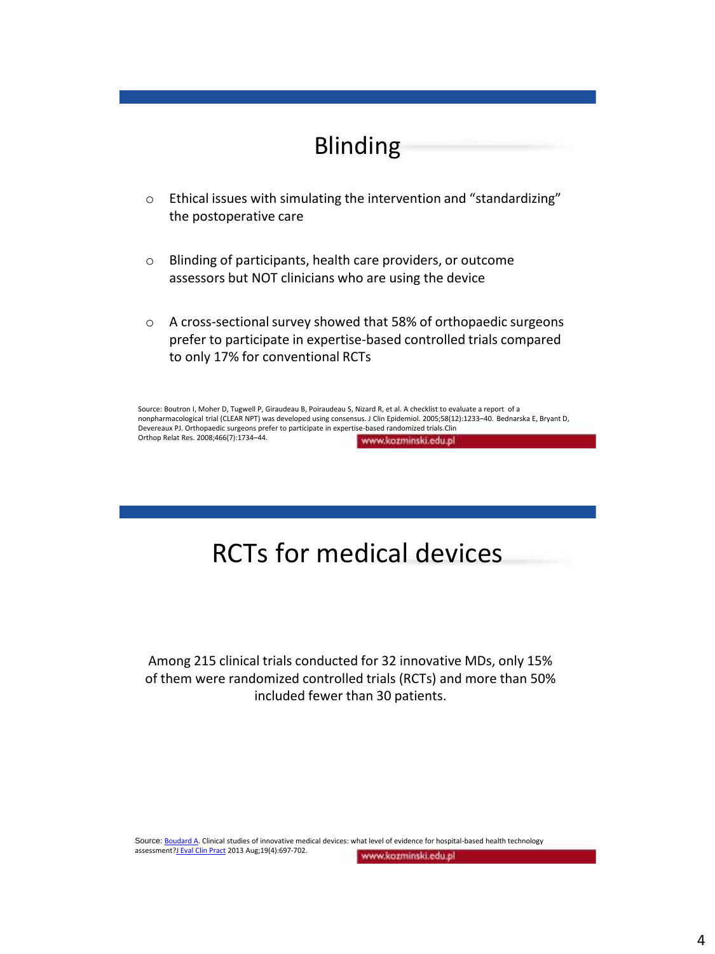### Blinding

- o Ethical issues with simulating the intervention and "standardizing" the postoperative care
- o Blinding of participants, health care providers, or outcome assessors but NOT clinicians who are using the device
- o A cross-sectional survey showed that 58% of orthopaedic surgeons prefer to participate in expertise-based controlled trials compared to only 17% for conventional RCTs

Source: Boutron I, Moher D, Tugwell P, Giraudeau B, Poiraudeau S, Nizard R, et al. A checklist to evaluate a report of a nonpharmacological trial (CLEAR NPT) was developed using consensus. J Clin Epidemiol. 2005;58(12):1233–40. Bednarska E, Bryant D, Devereaux PJ. Orthopaedic surgeons prefer to participate in expertise-based randomized trials.Clin Orthop Relat Res. 2008;466(7):1734–44. www.kozminski.edu.pl

# RCTs for medical devices

Among 215 clinical trials conducted for 32 innovative MDs, only 15% of them were randomized controlled trials (RCTs) and more than 50% included fewer than 30 patients.

Source: [Boudard](https://www.ncbi.nlm.nih.gov/pubmed/?term=Boudard A[Author]&cauthor=true&cauthor_uid=23510375) A. Clinical studies of innovative medical devices: what level of evidence for hospital-based health technology assessment?J [Eval Clin Pract](https://www.ncbi.nlm.nih.gov/pubmed/23510375) 2013 Aug;19(4):697-702.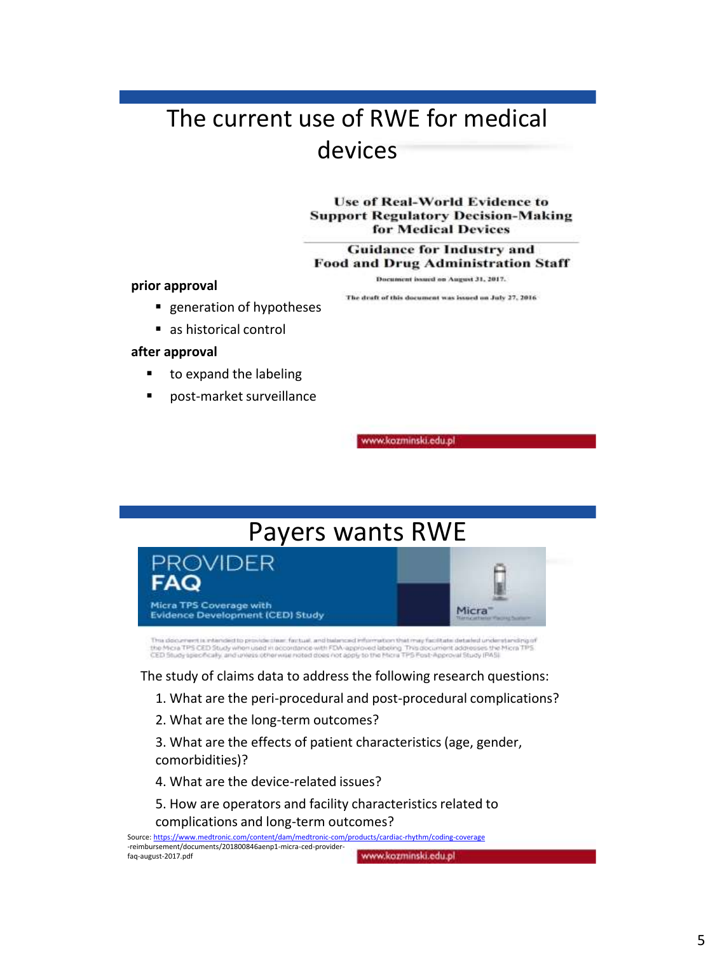## The current use of RWE for medical devices

**Use of Real-World Evidence to Support Regulatory Decision-Making** for Medical Devices

**Guidance for Industry and Food and Drug Administration Staff** 

**prior approval**

Document issued on August 31, 2017. The deaft of this document was issued on July 27, 2016

- **generation of hypotheses**
- as historical control

#### **after approval**

- to expand the labeling
- post-market surveillance

rww.kozminski.edu.pl

# Payers wants RWE



ition that may facilitate detailed understanding of This document is intended to provide clear, factual, and b the Micra TPS CED Study when used in accordance with FDA-approved labeling. This document addresses the<br>CED Study specifically, and unless other was noted does not apply to the Micra TPS Post-Approval Study (PAS). s the Micra TPS.

The study of claims data to address the following research questions:

- 1. What are the peri-procedural and post-procedural complications?
- 2. What are the long-term outcomes?

3. What are the effects of patient characteristics (age, gender, comorbidities)?

- 4. What are the device-related issues?
- 5. How are operators and facility characteristics related to complications and long-term outcomes?

Source: <https://www.medtronic.com/content/dam/medtronic-com/products/cardiac-rhythm/coding-coverage> -reimbursement/documents/201800846aenp1-micra-ced-providerwww.kozminski.edu.pl faq-august-2017.pdf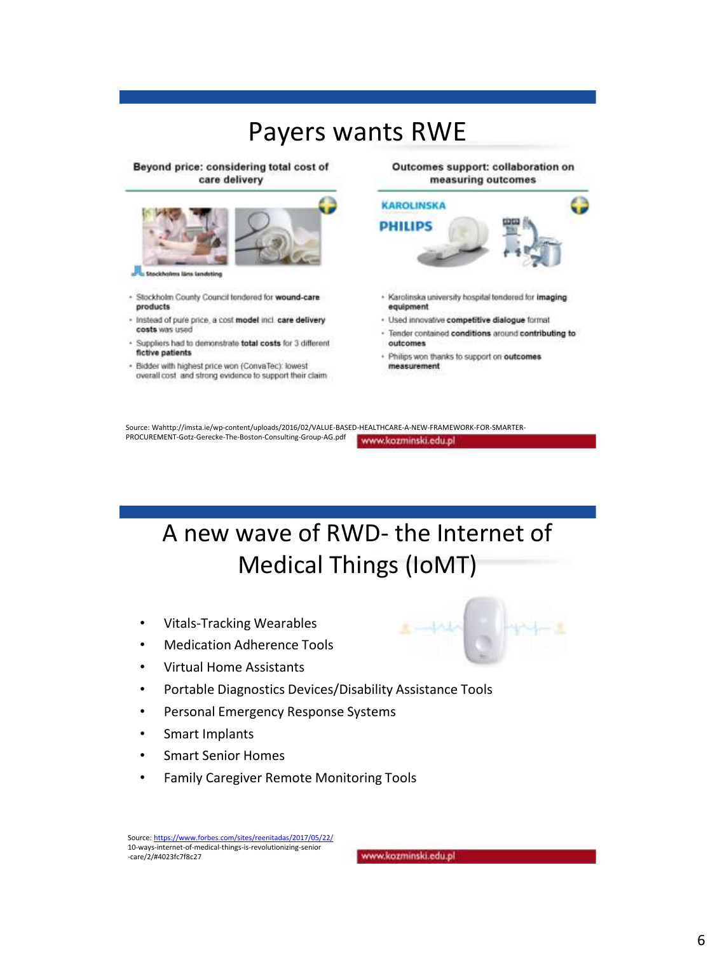### Payers wants RWE

Beyond price: considering total cost of care delivery



- Stockholm County Council tendered for wound-care products
- Instead of pure price, a cost model incl. care delivery costs was used
- Suppliers had to demonstrate total costs for 3 different fictive patients
- Bidder with highest price won (ConvaTec): lowest overall cost and strong evidence to support their claim

Outcomes support: collaboration on measuring outcomes



- Karolinska university hospital tendered for imaging equipment
- · Used innovative competitive dialogue format
- Tender contained conditions around contributing to outcomes
- · Philips won thanks to support on outcomes measurement

Source: Wahttp://imsta.ie/wp-content/uploads/2016/02/VALUE-BASED-HEALTHCARE-A-NEW-FRAMEWORK-FOR-SMARTER-PROCUREMENT-Gotz-Gerecke-The-Boston-Consulting-Group-AG.pdf www.kozminski.edu.pl

A new wave of RWD- the Internet of Medical Things (IoMT)

- Vitals-Tracking Wearables
- Medication Adherence Tools
- Virtual Home Assistants
- Portable Diagnostics Devices/Disability Assistance Tools
- Personal Emergency Response Systems
- Smart Implants
- Smart Senior Homes
- Family Caregiver Remote Monitoring Tools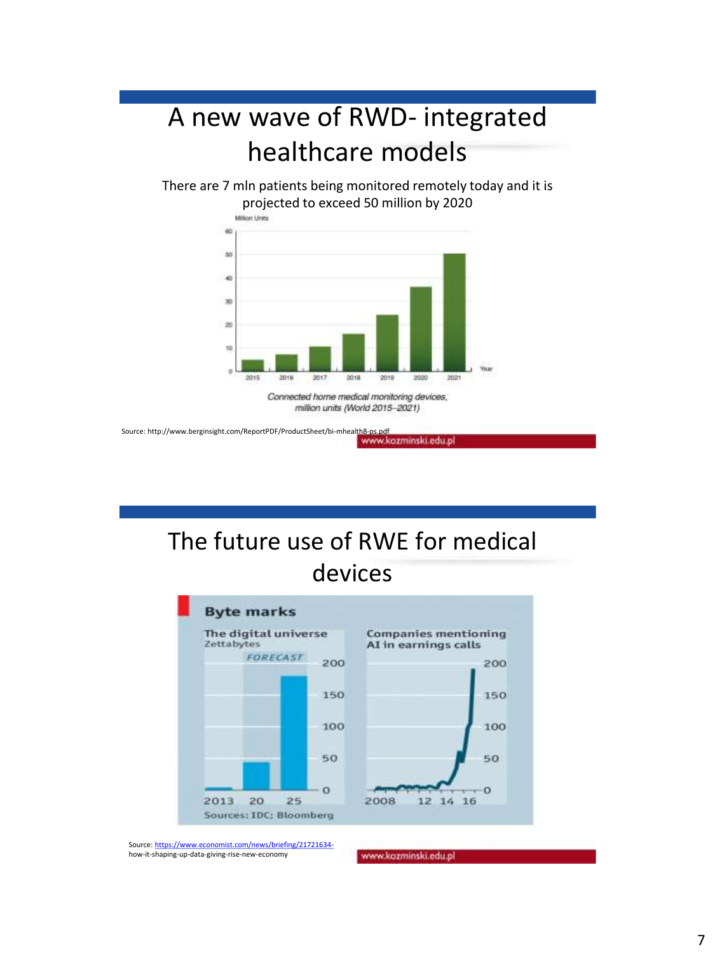# A new wave of RWD- integrated healthcare models

There are 7 mln patients being monitored remotely today and it is projected to exceed 50 million by 2020



Source: http://www.berginsight.com/ReportPDF/ProductSheet/bi-mhealth8-ps.pdf www.kozminski.edu.pl

# The future use of RWE for medical devices



Source: [https://www.economist.com/news/briefing/21721634](https://www.economist.com/news/briefing/21721634-) how-it-shaping-up-data-giving-rise-new-economy